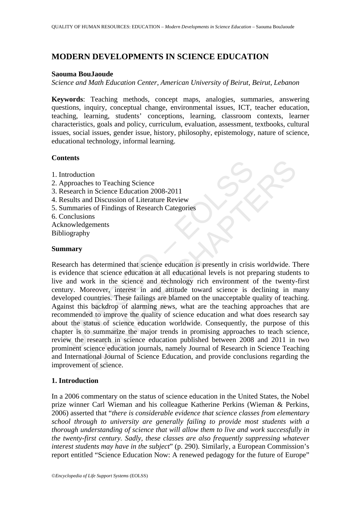# **MODERN DEVELOPMENTS IN SCIENCE EDUCATION**

#### **Saouma BouJaoude**

*Science and Math Education Center, American University of Beirut, Beirut, Lebanon* 

**Keywords**: Teaching methods, concept maps, analogies, summaries, answering questions, inquiry, conceptual change, environmental issues, ICT, teacher education, teaching, learning, students' conceptions, learning, classroom contexts, learner characteristics, goals and policy, curriculum, evaluation, assessment, textbooks, cultural issues, social issues, gender issue, history, philosophy, epistemology, nature of science, educational technology, informal learning.

# **Contents**

- 1. Introduction
- 2. Approaches to Teaching Science
- 3. Research in Science Education 2008-2011
- 4. Results and Discussion of Literature Review
- 5. Summaries of Findings of Research Categories
- 6. Conclusions
- Acknowledgements Bibliography

### **Summary**

Introduction<br>
unchass<br>
propoaches to Teaching Science<br>
essearch in Science Education 2008-2011<br>
unmarries of Findings of Research Categories<br>
onclusions<br>
ionclusions<br>
mowledgements<br>
liography<br> **nmary**<br> **nmary**<br>
arch has de tion<br>
thes to Teaching Science<br>
in Science Education 2008-2011<br>
and Discussion of Literature Review<br>
ties of Findings of Research Categories<br>
ties of Findings of Research Categories<br>
that science education at all education Research has determined that science education is presently in crisis worldwide. There is evidence that science education at all educational levels is not preparing students to live and work in the science and technology rich environment of the twenty-first century. Moreover, interest in and attitude toward science is declining in many developed countries. These failings are blamed on the unacceptable quality of teaching. Against this backdrop of alarming news, what are the teaching approaches that are recommended to improve the quality of science education and what does research say about the status of science education worldwide. Consequently, the purpose of this chapter is to summarize the major trends in promising approaches to teach science, review the research in science education published between 2008 and 2011 in two prominent science education journals, namely Journal of Research in Science Teaching and International Journal of Science Education, and provide conclusions regarding the improvement of science.

# **1. Introduction**

In a 2006 commentary on the status of science education in the United States, the Nobel prize winner Carl Wieman and his colleague Katherine Perkins (Wieman & Perkins, 2006) asserted that "*there is considerable evidence that science classes from elementary school through to university are generally failing to provide most students with a thorough understanding of science that will allow them to live and work successfully in the twenty-first century. Sadly, these classes are also frequently suppressing whatever interest students may have in the subject*" (p. 290). Similarly, a European Commission's report entitled "Science Education Now: A renewed pedagogy for the future of Europe"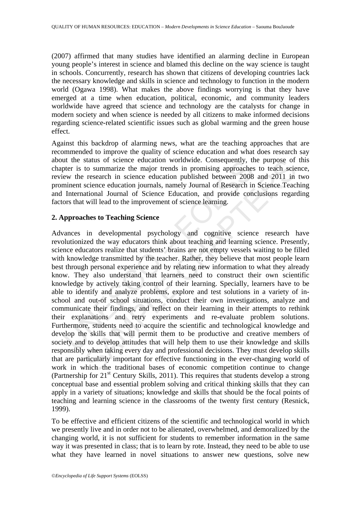(2007) affirmed that many studies have identified an alarming decline in European young people's interest in science and blamed this decline on the way science is taught in schools. Concurrently, research has shown that citizens of developing countries lack the necessary knowledge and skills in science and technology to function in the modern world (Ogawa 1998). What makes the above findings worrying is that they have emerged at a time when education, political, economic, and community leaders worldwide have agreed that science and technology are the catalysts for change in modern society and when science is needed by all citizens to make informed decisions regarding science-related scientific issues such as global warming and the green house effect.

Against this backdrop of alarming news, what are the teaching approaches that are recommended to improve the quality of science education and what does research say about the status of science education worldwide. Consequently, the purpose of this chapter is to summarize the major trends in promising approaches to teach science, review the research in science education published between 2008 and 2011 in two prominent science education journals, namely Journal of Research in Science Teaching and International Journal of Science Education, and provide conclusions regarding factors that will lead to the improvement of science learning.

### **2. Approaches to Teaching Science**

International exertion worldwide. Consequently, the status of science education worldwide. Consequently, the even the research in science education published between 2008 ninent science education journals, namely Journal o status of science education worldwide. Consequently, the purpose of<br>to summarize the major trends in promising approaches to teach science<br>research in science education published between 2008 and 2011 in<br>science education Advances in developmental psychology and cognitive science research have revolutionized the way educators think about teaching and learning science. Presently, science educators realize that students' brains are not empty vessels waiting to be filled with knowledge transmitted by the teacher. Rather, they believe that most people learn best through personal experience and by relating new information to what they already know. They also understand that learners need to construct their own scientific knowledge by actively taking control of their learning. Specially, learners have to be able to identify and analyze problems, explore and test solutions in a variety of inschool and out-of school situations, conduct their own investigations, analyze and communicate their findings, and reflect on their learning in their attempts to rethink their explanations and retry experiments and re-evaluate problem solutions. Furthermore, students need to acquire the scientific and technological knowledge and develop the skills that will permit them to be productive and creative members of society and to develop attitudes that will help them to use their knowledge and skills responsibly when taking every day and professional decisions. They must develop skills that are particularly important for effective functioning in the ever-changing world of work in which the traditional bases of economic competition continue to change (Partnership for 21st Century Skills, 2011). This requires that students develop a strong conceptual base and essential problem solving and critical thinking skills that they can apply in a variety of situations; knowledge and skills that should be the focal points of teaching and learning science in the classrooms of the twenty first century (Resnick, 1999).

To be effective and efficient citizens of the scientific and technological world in which we presently live and in order not to be alienated, overwhelmed, and demoralized by the changing world, it is not sufficient for students to remember information in the same way it was presented in class; that is to learn by rote. Instead, they need to be able to use what they have learned in novel situations to answer new questions, solve new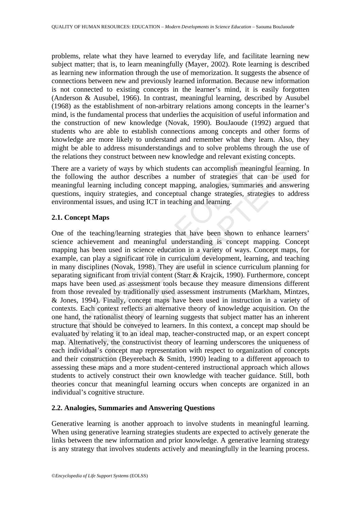problems, relate what they have learned to everyday life, and facilitate learning new subject matter; that is, to learn meaningfully (Mayer, 2002). Rote learning is described as learning new information through the use of memorization. It suggests the absence of connections between new and previously learned information. Because new information is not connected to existing concepts in the learner's mind, it is easily forgotten (Anderson & Ausubel, 1966). In contrast, meaningful learning, described by Ausubel (1968) as the establishment of non-arbitrary relations among concepts in the learner's mind, is the fundamental process that underlies the acquisition of useful information and the construction of new knowledge (Novak, 1990). BouJaoude (1992) argued that students who are able to establish connections among concepts and other forms of knowledge are more likely to understand and remember what they learn. Also, they might be able to address misunderstandings and to solve problems through the use of the relations they construct between new knowledge and relevant existing concepts.

There are a variety of ways by which students can accomplish meaningful learning. In the following the author describes a number of strategies that can be used for meaningful learning including concept mapping, analogies, summaries and answering questions, inquiry strategies, and conceptual change strategies, strategies to address environmental issues, and using ICT in teaching and learning.

# **2.1. Concept Maps**

re are a variety of ways by which students can accomplish mean<br>following the author describes a number of strategies that<br>ningful learning including concept mapping, analogies, summan<br>stions, inquiry strategies, and concep a variety of ways by which students can accomplish meaningful learning<br>ing the author describes a number of strategies that can be used<br>learning including concept mapping, analogies, summaries and answe<br>inquiry strategies, One of the teaching/learning strategies that have been shown to enhance learners' science achievement and meaningful understanding is concept mapping. Concept mapping has been used in science education in a variety of ways. Concept maps, for example, can play a significant role in curriculum development, learning, and teaching in many disciplines (Novak, 1998). They are useful in science curriculum planning for separating significant from trivial content (Starr & Krajcik, 1990). Furthermore, concept maps have been used as assessment tools because they measure dimensions different from those revealed by traditionally used assessment instruments (Markham, Mintzes, & Jones, 1994). Finally, concept maps have been used in instruction in a variety of contexts. Each context reflects an alternative theory of knowledge acquisition. On the one hand, the rationalist theory of learning suggests that subject matter has an inherent structure that should be conveyed to learners. In this context, a concept map should be evaluated by relating it to an ideal map, teacher-constructed map, or an expert concept map. Alternatively, the constructivist theory of learning underscores the uniqueness of each individual's concept map representation with respect to organization of concepts and their construction (Beyerebach & Smith, 1990) leading to a different approach to assessing these maps and a more student-centered instructional approach which allows students to actively construct their own knowledge with teacher guidance. Still, both theories concur that meaningful learning occurs when concepts are organized in an individual's cognitive structure.

# **2.2. Analogies, Summaries and Answering Questions**

Generative learning is another approach to involve students in meaningful learning. When using generative learning strategies students are expected to actively generate the links between the new information and prior knowledge. A generative learning strategy is any strategy that involves students actively and meaningfully in the learning process.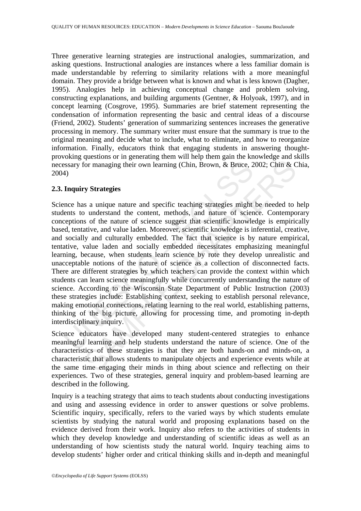Three generative learning strategies are instructional analogies, summarization, and asking questions. Instructional analogies are instances where a less familiar domain is made understandable by referring to similarity relations with a more meaningful domain. They provide a bridge between what is known and what is less known (Dagher, 1995). Analogies help in achieving conceptual change and problem solving, constructing explanations, and building arguments (Gentner, & Holyoak, 1997), and in concept learning (Cosgrove, 1995). Summaries are brief statement representing the condensation of information representing the basic and central ideas of a discourse (Friend, 2002). Students' generation of summarizing sentences increases the generative processing in memory. The summary writer must ensure that the summary is true to the original meaning and decide what to include, what to eliminate, and how to reorganize information. Finally, educators think that engaging students in answering thoughtprovoking questions or in generating them will help them gain the knowledge and skills necessary for managing their own learning (Chin, Brown, & Bruce, 2002; Chin & Chia, 2004)

### **2.3. Inquiry Strategies**

Example their own learning (Chin, Brown, & Bruce, 2<br>
4)<br> **Inquiry Strategies**<br>
ance has a unique nature and specific teaching strategies might<br>
tents to understand the content, methods, and nature of science<br>
experions of For managing their own learning (Chin, Brown, & Bruce, 2002; Chin & C<br>or managing their own learning (Chin, Brown, & Bruce, 2002; Chin & C<br>ry Strategies<br>s a unique nature and specific teaching strategies might be needed to Science has a unique nature and specific teaching strategies might be needed to help students to understand the content, methods, and nature of science. Contemporary conceptions of the nature of science suggest that scientific knowledge is empirically based, tentative, and value laden. Moreover, scientific knowledge is inferential, creative, and socially and culturally embedded. The fact that science is by nature empirical, tentative, value laden and socially embedded necessitates emphasizing meaningful learning, because, when students learn science by rote they develop unrealistic and unacceptable notions of the nature of science as a collection of disconnected facts. There are different strategies by which teachers can provide the context within which students can learn science meaningfully while concurrently understanding the nature of science. According to the Wisconsin State Department of Public Instruction (2003) these strategies include: Establishing context, seeking to establish personal relevance, making emotional connections, relating learning to the real world, establishing patterns, thinking of the big picture, allowing for processing time, and promoting in-depth interdisciplinary inquiry.

Science educators have developed many student-centered strategies to enhance meaningful learning and help students understand the nature of science. One of the characteristics of these strategies is that they are both hands-on and minds-on, a characteristic that allows students to manipulate objects and experience events while at the same time engaging their minds in thing about science and reflecting on their experiences. Two of these strategies, general inquiry and problem-based learning are described in the following.

Inquiry is a teaching strategy that aims to teach students about conducting investigations and using and assessing evidence in order to answer questions or solve problems. Scientific inquiry, specifically, refers to the varied ways by which students emulate scientists by studying the natural world and proposing explanations based on the evidence derived from their work. Inquiry also refers to the activities of students in which they develop knowledge and understanding of scientific ideas as well as an understanding of how scientists study the natural world. Inquiry teaching aims to develop students' higher order and critical thinking skills and in-depth and meaningful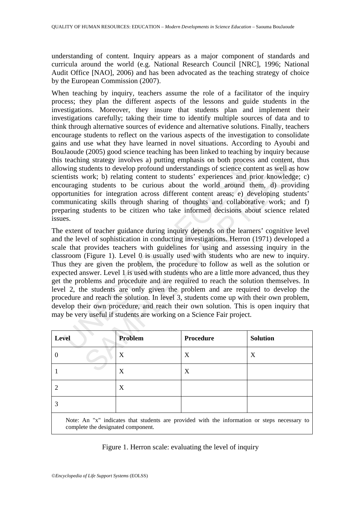understanding of content. Inquiry appears as a major component of standards and curricula around the world (e.g. National Research Council [NRC], 1996; National Audit Office [NAO], 2006) and has been advocated as the teaching strategy of choice by the European Commission (2007).

When teaching by inquiry, teachers assume the role of a facilitator of the inquiry process; they plan the different aspects of the lessons and guide students in the investigations. Moreover, they insure that students plan and implement their investigations carefully; taking their time to identify multiple sources of data and to think through alternative sources of evidence and alternative solutions. Finally, teachers encourage students to reflect on the various aspects of the investigation to consolidate gains and use what they have learned in novel situations. According to Ayoubi and BouJaoude (2005) good science teaching has been linked to teaching by inquiry because this teaching strategy involves a) putting emphasis on both process and content, thus allowing students to develop profound understandings of science content as well as how scientists work; b) relating content to students' experiences and prior knowledge; c) encouraging students to be curious about the world around them, d) providing opportunities for integration across different content areas; e) developing students' communicating skills through sharing of thoughts and collaborative work; and f) preparing students to be citizen who take informed decisions about science related issues.

teaching strategy involves a) putting emphasss on both process<br>wing strategy involves a) putting emphasss on both process<br>winds to develop profound understandings of science continuities for the surfact<br>unities for integra may strategy myolives a) putting emphasis on both process and content,<br>
udents to develop proforoud understandings of science content as well as<br>
work; b) relating content to students' experiences and prior knowledge<br>
g s The extent of teacher guidance during inquiry depends on the learners' cognitive level and the level of sophistication in conducting investigations. Herron (1971) developed a scale that provides teachers with guidelines for using and assessing inquiry in the classroom (Figure 1). Level 0 is usually used with students who are new to inquiry. Thus they are given the problem, the procedure to follow as well as the solution or expected answer. Level 1 is used with students who are a little more advanced, thus they get the problems and procedure and are required to reach the solution themselves. In level 2, the students are only given the problem and are required to develop the procedure and reach the solution. In level 3, students come up with their own problem, develop their own procedure, and reach their own solution. This is open inquiry that may be very useful if students are working on a Science Fair project.

| Level                                                                                          | Problem | Procedure | <b>Solution</b> |
|------------------------------------------------------------------------------------------------|---------|-----------|-----------------|
|                                                                                                | X       | X         | X               |
|                                                                                                | X       | X         |                 |
|                                                                                                | X       |           |                 |
|                                                                                                |         |           |                 |
| Mater An Unit indicates that students are mossided with the information on stems mossessments. |         |           |                 |

Note: An "x" indicates that students are provided with the information or steps necessary to complete the designated component.

# Figure 1. Herron scale: evaluating the level of inquiry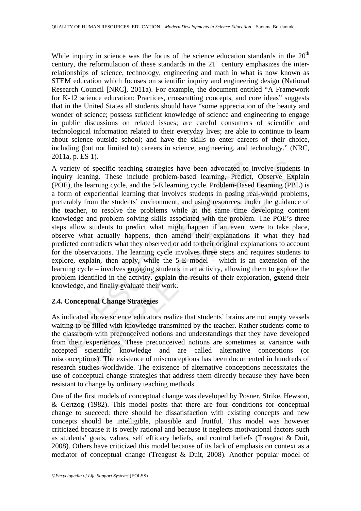While inquiry in science was the focus of the science education standards in the  $20<sup>th</sup>$ century, the reformulation of these standards in the  $21<sup>st</sup>$  century emphasizes the interrelationships of science, technology, engineering and math in what is now known as STEM education which focuses on scientific inquiry and engineering design (National Research Council [NRC], 2011a). For example, the document entitled "A Framework for K-12 science education: Practices, crosscutting concepts, and core ideas" suggests that in the United States all students should have "some appreciation of the beauty and wonder of science; possess sufficient knowledge of science and engineering to engage in public discussions on related issues; are careful consumers of scientific and technological information related to their everyday lives; are able to continue to learn about science outside school; and have the skills to enter careers of their choice, including (but not limited to) careers in science, engineering, and technology." (NRC, 2011a, p. ES 1).

ariety of specific teaching strategies have been advocated to in<br>tiry leaning. These include problem-based learning, Predict,<br>E), the learning cycle, and the 5-E learning cycle. Problem-Based<br>From of experiential learning <sup>27</sup> of specific teaching strategies have been advocated to involve studenty of specific teaching syrted problem-based learning, Predict, Observe Experimential learning cycle, and the 5-E learning cycle. Problem-Based Lear A variety of specific teaching strategies have been advocated to involve students in inquiry leaning. These include problem-based learning, Predict, Observe Explain (POE), the learning cycle, and the 5-E learning cycle. Problem-Based Learning (PBL) is a form of experiential learning that involves students in posing real-world problems, preferably from the students' environment, and using resources, under the guidance of the teacher, to resolve the problems while at the same time developing content knowledge and problem solving skills associated with the problem. The POE's three steps allow students to predict what might happen if an event were to take place, observe what actually happens, then amend their explanations if what they had predicted contradicts what they observed or add to their original explanations to account for the observations. The learning cycle involves three steps and requires students to explore, explain, then apply, while the 5-E model – which is an extension of the learning cycle – involves **e**ngaging students in an activity, allowing them to **e**xplore the problem identified in the activity, **e**xplain the results of their exploration, **e**xtend their knowledge, and finally **e**valuate their work.

#### **2.4. Conceptual Change Strategies**

As indicated above science educators realize that students' brains are not empty vessels waiting to be filled with knowledge transmitted by the teacher. Rather students come to the classroom with preconceived notions and understandings that they have developed from their experiences. These preconceived notions are sometimes at variance with accepted scientific knowledge and are called alternative conceptions misconceptions). The existence of misconceptions has been documented in hundreds of research studies worldwide. The existence of alternative conceptions necessitates the use of conceptual change strategies that address them directly because they have been resistant to change by ordinary teaching methods.

One of the first models of conceptual change was developed by Posner, Strike, Hewson, & Gertzog (1982). This model posits that there are four conditions for conceptual change to succeed: there should be dissatisfaction with existing concepts and new concepts should be intelligible, plausible and fruitful. This model was however criticized because it is overly rational and because it neglects motivational factors such as students' goals, values, self efficacy beliefs, and control beliefs (Treagust & Duit, 2008). Others have criticized this model because of its lack of emphasis on context as a mediator of conceptual change (Treagust & Duit, 2008). Another popular model of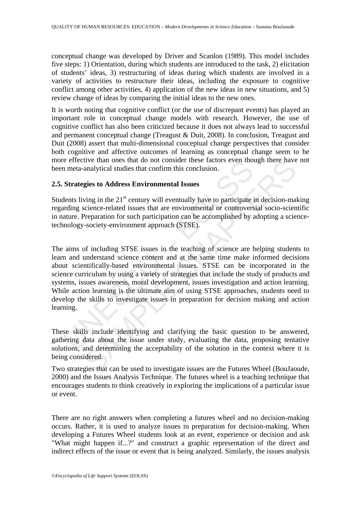conceptual change was developed by Driver and Scanlon (1989). This model includes five steps: 1) Orientation, during which students are introduced to the task, 2) elicitation of students' ideas, 3) restructuring of ideas during which students are involved in a variety of activities to restructure their ideas, including the exposure to cognitive conflict among other activities, 4) application of the new ideas in new situations, and 5) review change of ideas by comparing the initial ideas to the new ones.

It is worth noting that cognitive conflict (or the use of discrepant events) has played an important role in conceptual change models with research. However, the use of cognitive conflict has also been criticized because it does not always lead to successful and permanent conceptual change (Treagust & Duit, 2008). In conclusion, Treagust and Duit (2008) assert that multi-dimensional conceptual change perspectives that consider both cognitive and affective outcomes of learning as conceptual change seem to be more effective than ones that do not consider these factors even though there have not been meta-analytical studies that confirm this conclusion.

#### **2.5. Strategies to Address Environmental Issues**

Students living in the  $21<sup>st</sup>$  century will eventually have to participate in decision-making regarding science-related issues that are environmental or controversial socio-scientific in nature. Preparation for such participation can be accomplished by adopting a sciencetechnology-society-environment approach (STSE).

e errective than ones that do not consider these ractors even tho<br>
in meta-analytical studies that confirm this conclusion.<br> **Strategies to Address Environmental Issues**<br>
lents living in the 21<sup>st</sup> century will eventually tive than ones that do not consider these factors even though there have<br>analytical studies that confirm this conclusion.<br> **gies to Address Environmental Issues**<br>
ving in the 21<sup>st</sup> century will eventually have to particip The aims of including STSE issues in the teaching of science are helping students to learn and understand science content and at the same time make informed decisions about scientifically-based environmental issues. STSE can be incorporated in the science curriculum by using a variety of strategies that include the study of products and systems, issues awareness, moral development, issues investigation and action learning. While action learning is the ultimate aim of using STSE approaches, students need to develop the skills to investigate issues in preparation for decision making and action learning.

These skills include identifying and clarifying the basic question to be answered, gathering data about the issue under study, evaluating the data, proposing tentative solutions, and determining the acceptability of the solution in the context where it is being considered.

Two strategies that can be used to investigate issues are the Futures Wheel (BouJaoude, 2000) and the Issues Analysis Technique. The futures wheel is a teaching technique that encourages students to think creatively in exploring the implications of a particular issue or event.

There are no right answers when completing a futures wheel and no decision-making occurs. Rather, it is used to analyze issues in preparation for decision-making. When developing a Futures Wheel students look at an event, experience or decision and ask "What might happen if...?" and construct a graphic representation of the direct and indirect effects of the issue or event that is being analyzed. Similarly, the issues analysis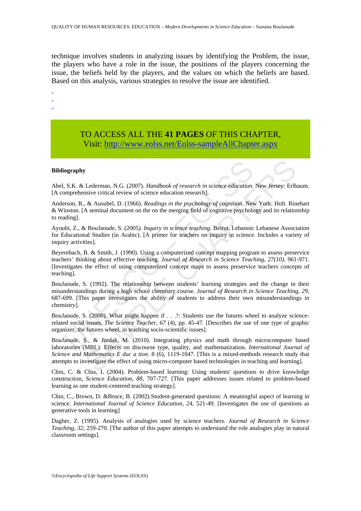technique involves students in analyzing issues by identifying the Problem, the issue, the players who have a role in the issue, the positions of the players concerning the issue, the beliefs held by the players, and the values on which the beliefs are based. Based on this analysis, various strategies to resolve the issue are identified.

-

-

-

# TO ACCESS ALL THE **41 PAGES** OF THIS CHAPTER, Visit[: http://www.eolss.net/Eolss-sampleAllChapter.aspx](https://www.eolss.net/ebooklib/sc_cart.aspx?File=E1-12-87)

#### **Bibliography**

Abel, S.K. & Lederman, N.G. (2007). *Handbook of research in science education.* New Jersey: Erlbaum. [A comprehensive critical review of science education research].

Anderson, R., & Ausubel, D. (1966). *Readings in the psychology of cognition*. New York: Holt. Rinehart & Winston. [A seminal document on the on the merging field of cognitive psychology and its relationship to reading].

Ayoubi, Z., & BouJaoude, S. (2005*). Inquiry in science teaching*. Beirut, Lebanon: Lebanese Association for Educational Studies (in Arabic). [A primer for teachers on inquiry in science. Includes a variety of inquiry activities].

Beyerebach, B. & Smith, J. (1990). Using a computerized concept mapping program to assess preservice teachers' thinking about effective teaching. *Journal of Research in Science Teaching, 27(10),* 961-971. [Investigates the effect of using computerized concept maps to assess preservice teachers concepts of teaching].

**iography**<br>
S.K. & Lederman, N.G. (2007). *Handbook of research in science education*.<br>
S.K. & Lederman, N.G. (2007). *Randbook of research in science education*. New<br>
intent. [A seminal document on the on the merging fiel **y**<br> **S**<br> **Example Contain Exerce in Science education. New Jersey: Erlb<br>
show critical revivo of science education research in science education. New Jersey: Erlb<br>
show critical revivo of science education research educa** BouJaoude, S. (1992). The relationship between students' learning strategies and the change in their misunderstandings during a high school chemistry course. *Journal of Research in Science Teaching, 29*, 687-699. [This paper investigates the ability of students to address their own misunderstandings in chemistry].

BouJaoude, S. (2000). What might happen if . . .?: Students use the futures wheel to analyze sciencerelated social issues. *The Science Teacher, 67* (4), pp. 45-47. [Describes the use of one type of graphic organizer, the futures wheel, in teaching socio-scientific issues].

BouJaoude, S., & Jurdak, M. (2010). Integrating physics and math through microcomputer based laboratories (MBL): Effects on discourse type, quality, and mathematization. *International Journal of Science and Mathematics E duc a tion*. 8 (6), 1119-1047. [This is a mixed-methods research study that attempts to investigate the effect of using micro-computer based technologies in teaching and learning].

Chin, C. & Chia, L (2004). Problem-based learning: Using students' questions to drive knowledge construction, *Science Education, 88*, 707-727. [This paper addresses issues related to problem-based learning as one student-centered teaching strategy].

Chin, C., Brown, D. &Bruce, B. (2002).Student-generated questions: A meaningful aspect of learning in science. *International Journal of Science Education, 24*, 521-49. [Investigates the use of questions as generative tools in learning]

Dagher, Z. (1995). Analysis of analogies used by science teachers. *Journal of Research in Science Teaching, 32*, 259-270. [The author of this paper attempts to understand the role analogies play in natural classroom settings].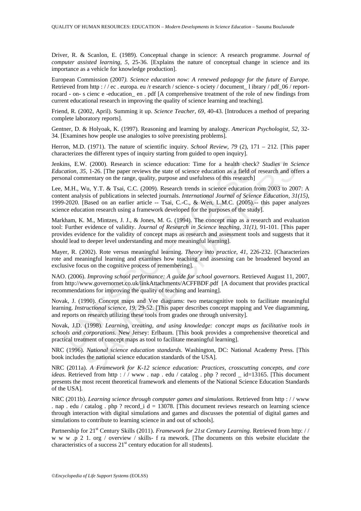Driver, R. & Scanlon, E. (1989). Conceptual change in science: A research programme. *Journal of computer assisted learning, 5*, 25-36. [Explains the nature of conceptual change in science and its importance as a vehicle for knowledge production].

European Commission (2007*). Science education now: A renewed pedagogy for the future of Europe*. Retrieved from http : // ec. europa. eu /r esearch / science- s ociety / document l ibrary / pdf 06 / reportrocard - on- s cienc e -education\_ en . pdf [A comprehensive treatment of the role of new findings from current educational research in improving the quality of science learning and teaching].

Friend, R. (2002, April). Summing it up. *Science Teacher, 69*, 40-43. [Introduces a method of preparing complete laboratory reports].

Gentner, D. & Holyoak, K. (1997). Reasoning and learning by analogy. *American Psychologist, 52*, 32- 34. [Examines how people use analogies to solve preexisting problems].

Herron, M.D. (1971). The nature of scientific inquiry. *School Review, 79* (2), 171 – 212. [This paper characterizes the different types of inquiry starting from guided to open inquiry].

Jenkins, E.W. (2000). Research in science education: Time for a health check? *Studies in Science Education, 35,* 1-26. [The paper reviews the state of science education as a field of research and offers a personal commentary on the range, quality, purpose and usefulness of this research]

ins, E.W. (2000). Research in science education: Time for a health checkation, 35, 1-26. [The paper reviews the state of science education as a field of natural commentary on the range, quality, purpose and usefulness of /. (2000). Research in science education: Time for a health check? *Studies in Sc*, 1-26. [The paper reviews the state of science education as a field of research and of  $5$ , 1-26. [The paper reviews the state of science Lee, M.H., Wu, Y.T. & Tsai, C.C. (2009). Research trends in science education from 2003 to 2007: A content analysis of publications in selected journals. *International Journal of Science Education, 31(15),*  1999-2020. [Based on an earlier article -- Tsai, C.-C., & Wen, L.M.C. (2005).-- this paper analyzes science education research using a framework developed for the purposes of the study].

Markham, K. M., Mintzes, J. J., & Jones, M. G. (1994). The concept map as a research and evaluation tool: Further evidence of validity. *Journal of Research in Science teaching, 31(1),* 91-101. [This paper provides evidence for the validity of concept maps as research and assessment tools and suggests that it should lead to deeper level understanding and more meaningful learning].

Mayer, R. (2002). Rote versus meaningful learning. *Theory into practice, 41*, 226-232. [Characterizes rote and meaningful learning and examines how teaching and assessing can be broadened beyond an exclusive focus on the cognitive process of remembering].

NAO. (2006). *Improving school performance: A guide for school governors*. Retrieved August 11, 2007, from http://www.governornet.co.uk/linkAttachments/ACFFBDF.pdf [A document that provides practical recommendations for improving the quality of teaching and learning].

Novak, J. (1990). Concept maps and Vee diagrams: two metacognitive tools to facilitate meaningful learning. *Instructional science, 19*, 29-52. [This paper describes concept mapping and Vee diagramming, and reports on research utilizing these tools from grades one through university].

Novak, J.D. (1998). *Learning, creating, and using knowledge: concept maps as facilitative tools in schools and corporations.* New Jersey: Erlbaum. [This book provides a comprehensive theoretical and practical treatment of concept maps as tool to facilitate meaningful learning].

NRC (1996). *National science education standards*. Washington, DC: National Academy Press. [This book includes the national science education standards of the USA].

NRC (2011a). *A Framework for K-12 science education: Practices, crosscutting concepts, and core ideas*. Retrieved from http : / / www . nap . edu / catalog . php ? record \_ id=13165. [This document presents the most recent theoretical framework and elements of the National Science Education Standards of the USA].

NRC (2011b). *Learning science through computer games and simulations*. Retrieved from http : / / www . nap . edu / catalog . php ? record\_i d = 13078. [This document reviews research on learning science through interaction with digital simulations and games and discusses the potential of digital games and simulations to contribute to learning science in and out of schools].

Partnership for 21st Century Skills (2011). *Framework for 21st Century Learning.* Retrieved from http: / / w w w .p 2 1. org / overview / skills- f ra mework. [The documents on this website elucidate the characteristics of a success  $21<sup>st</sup>$  century education for all students].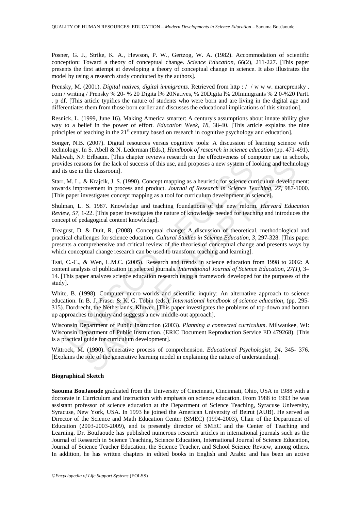Posner, G. J., Strike, K. A., Hewson, P. W., Gertzog, W. A. (1982). Accommodation of scientific conception: Toward a theory of conceptual change. *Science Education, 66*(2)*,* 211-227. [This paper presents the first attempt at developing a theory of conceptual change in science. It also illustrates the model by using a research study conducted by the authors].

Prensky, M. (2001). *Digital natives, digital immigrants*. Retrieved from http : / / w w w. marcprensky . com / writing / Prensky % 20- % 20 Digita l% 20Natives, % 20Digita l% 20Immigrants % 2 0-%20 Part1 . p df. [This article typifies the nature of students who were born and are living in the digital age and differentiates them from those born earlier and discusses the educational implications of this situation].

Resnick, L. (1999, June 16). Making America smarter: A century's assumptions about innate ability give way to a belief in the power of effort. *Education Week*, *18*, 38-40. [This article explains the nine principles of teaching in the  $21<sup>st</sup>$  century based on research in cognitive psychology and education].

Songer, N.B. (2007). Digital resources versus cognitive tools: A discussion of learning science with technology. In S. Abell & N. Lederman (Eds.), *Handbook of research in science education* (pp. 471-491). Mahwah, NJ: Erlbaum. [This chapter reviews research on the effectiveness of computer use in schools, provides reasons for the lack of success of this use, and proposes a new system of looking and technology and its use in the classroom].

Starr, M. L., & Krajcik, J. S. (1990). Concept mapping as a heuristic for science curriculum development: towards improvement in process and product. *Journal of Research in Science Teaching, 27,* 987-1000. [This paper investigates concept mapping as a tool for curriculum development in science].

Shulman, L. S. 1987. Knowledge and teaching foundations of the new reform. *Harvard Education Review, 57,* 1-22. [This paper investigates the nature of knowledge needed for teaching and introduces the concept of pedagogical content knowledge].

Treagust, D. & Duit, R. (2008). Conceptual change: A discussion of theoretical, methodological and practical challenges for science education. *Cultural Studies in Science Education, 3*, 297-328. [This paper presents a comprehensive and critical review of the theories of conceptual change and presents ways by which conceptual change research can be used to transform teaching and learning].

ides reasons for the lack of success of this use, and proposes a new system of lt<br>suse in the classroom].<br>N. M. L., & Krajcik, J. S. (1990). Concept mapping as a heuristic for science cures<br>Missimprotenent in process and p ions for the lack of success of this use, and proposes a new system of looking and technomic for the lack of success of this use, and proposes a new system of looking and technomic the deasyroom).<br>
At Krajek, J. S. (1990) Tsai, C.-C., & Wen, L.M.C. (2005). Research and trends in science education from 1998 to 2002: A content analysis of publication in selected journals. *International Journal of Science Education*, *27(1),* 3– 14. [This paper analyzes science education research using a framework developed for the purposes of the study].

White, B. (1998). Computer micro-worlds and scientific inquiry: An alternative approach to science education. In B. J. Fraser & K. G. Tobin (eds.), *International handbook of science education*, (pp. 295- 315). Dordrecht, the Netherlands: Kluwer. [This paper investigates the problems of top-down and bottom up approaches to inquiry and suggests a new middle-out approach].

Wisconsin Department of Public Instruction (2003). *Planning a connected curriculum*. Milwaukee, WI: Wisconsin Department of Public Instruction. (ERIC Document Reproduction Service ED 479268). [This is a practical guide for curriculum development].

Wittrock, M. (1990). Generative process of comprehension. *Educational Psychologist, 24*, 345- 376. [Explains the role of the generative learning model in explaining the nature of understanding].

#### **Biographical Sketch**

**Saouma BouJaoude** graduated from the University of Cincinnati, Cincinnati, Ohio, USA in 1988 with a doctorate in Curriculum and Instruction with emphasis on science education. From 1988 to 1993 he was assistant professor of science education at the Department of Science Teaching, Syracuse University, Syracuse, New York, USA. In 1993 he joined the American University of Beirut (AUB). He served as Director of the Science and Math Education Center (SMEC) (1994-2003), Chair of the Department of Education (2003-2003-2009), and is presently director of SMEC and the Center of Teaching and Learning. Dr. BouJaoude has published numerous research articles in international journals such as the Journal of Research in Science Teaching, Science Education, International Journal of Science Education, Journal of Science Teacher Education, the Science Teacher, and School Science Review, among others. In addition, he has written chapters in edited books in English and Arabic and has been an active